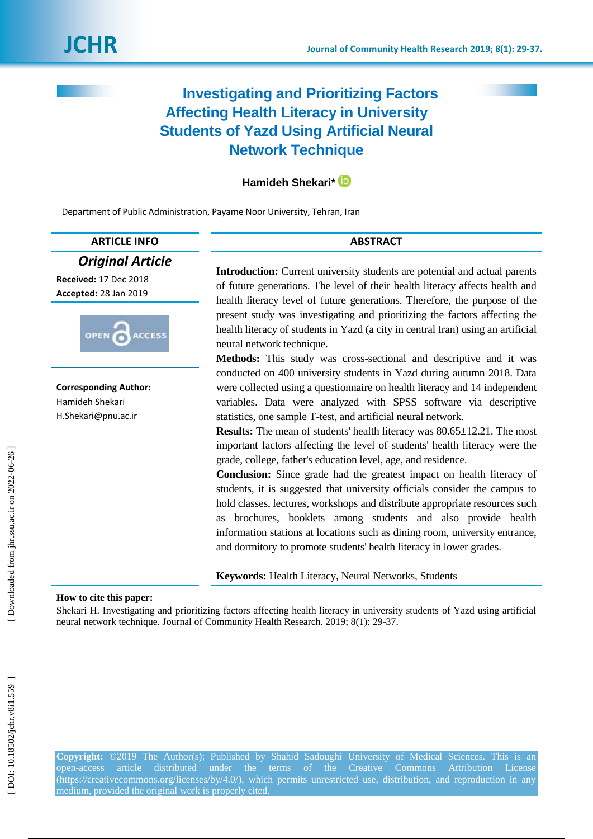# **Investigating and Prioritizing Factors Affecting Health Literacy in University Students of Yazd Using Artificial Neural Network Technique**

# **Hamideh Shekari\***

Department of Public Administration, Payame Noor University, Tehran, Iran

| <b>ARTICLE INFO</b> |
|---------------------|
|---------------------|

# *Original Article*

**Received:** 17 Dec 2018 **Accepted:** 28 Jan 201 9



**Corresponding Author:** Hamideh Shekari H.Shekari@pnu.ac.ir

**Introduction :** Current university students are potential and actual parents of future generations. The level of their health literacy affects health and health literacy level of future generations. Therefore, the purpose of the present study was investigating and prioritizing the factors affecting the health literacy of students in Yazd (a city in central Iran) using an artificial neural network technique.

**ABSTRACT** 

**Methods:** This study was cross -sectional and descriptive and it was conducted on 400 university students in Yazd during autumn 2018. Data were collected using a questionnaire on health literacy and 14 independent variables. Data were analyzed with SPSS software via descriptive statistics, one sample T -test, and artificial neural network.

**Results:** The mean of students' health literacy was  $80.65 \pm 12.21$ . The most important factors affecting the level of students' health literacy were the grade, college, father's education level, age, and residence.

**Conclusion:** Since grade had the greatest impact on health literacy of students, it is suggested that university officials consider the campus to hold classes, lectures, workshops and distribute appropriate resources such as brochures, booklets among students and also provide health information stations at locations such as dining room, university entrance, and dormitory to promote students' health literacy in lower grades.

**Keywords:** Health Literacy, Neural Network s, Students

#### **How to cite this paper:**

Shekari H. Investigating and prioritizing factors affecting health literacy in university students of Yazd using artificial neural network technique. Journal of Community Health Research. 2019; 8(1): 29 -37 .

**Copyright:** ©2019 The Author(s); Published by Shahid Sadoughi University of Medical Sciences. This is an open-access article distributed under the terms of the Creative Commons Attribution License [\(https://creativecommons.org/licenses/by/4.0/\)](https://creativecommons.org/licenses/by/4.0/), which permits unrestricted use, distribution, and reproduction in any medium, provided the original work is properly cited.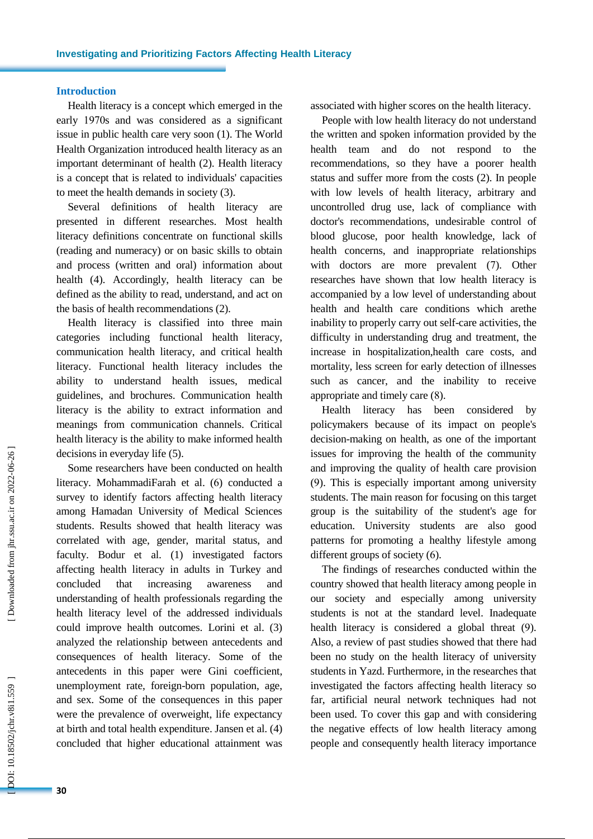# **Introduction**

Health literacy is a concept which emerged in the early 1970s and was considered as a significant issue in public health care very soon ( 1). The World Health Organization introduced health literacy as an important determinant of health ( 2). Health literacy is a concept that is related to individuals' capacities to meet the health demands in society ( 3).

Several definitions of health literacy are presented in different researches. Most health literacy definitions concentrate on functional skills (reading and numeracy) or on basic skills to obtain and process (written and oral) information about health ( 4). Accordingly, health literacy can be defined as the ability to read, understand, and act on the basis of health recommendations ( 2).

Health literacy is classified into three main categories including functional health literacy, communication health literacy , and critical health literacy . Functional health literacy includes the ability to understand health issues, medical guidelines , and brochures. Communication health literacy is the ability to extract information and meanings from communication channels. Critical health literacy is the ability to make informed health decisions in everyday life ( 5).

Some researchers have been conducted on health literacy. MohammadiFarah et al . ( 6) conducted a survey to identify factors affecting health literacy among Hamadan University of Medical Sciences students. Results showed that health literacy was correlated with age, gender, marital status , and faculty. Bodur et al . ( 1 ) investigated factors affecting health literacy in adults in Turkey and concluded that increasing awareness and understanding of health professionals regarding the health literacy level of the addressed individuals could improve health outcomes. Lorini et al. (3) analyzed the relationship between antecedents and consequences of health literacy. Some of the antecedents in this paper were Gini coefficient, unemployment rate, foreign -born population, age , and sex. Some of the consequences in this paper were the prevalence of overweight, life expectancy at birth and total health expenditure. Jansen et al . ( 4 ) concluded that higher educational attainment was

associated with higher scores on the health literacy.

People with low health literacy do not understand the written and spoken information provided by the health team and do not respond to the recommendations, so they have a poorer health status and suffer more from the costs ( 2). In people with low level s of health literacy, arbitrary and uncontrolled drug use, lack of compliance with doctor's recommendations, undesirable control of blood glucose, poor health knowledge, lack of health concerns, and inappropriate relationships with doctors are more prevalent (7). Other researches have shown that low health literacy is accompanied by a low level of understanding about health and health care conditions which arethe inability to properly carry out self-care activities, the difficulty in understanding drug and treatment, the increase in hospitalization , health care costs, and mortality, less screen for early detection of illnesses such as cancer, and the inability to receive appropriate and timely care ( 8).

Health literacy has been considered by policymakers because of its impact on people's decision -making on health, as one of the important issues for improving the health of the community and improving the quality of health care provision (9). This is especially important among university students. The main reason for focusing on this target group is the suitability of the student's age for education. University students are also good patterns for promoting a healthy lifestyle among different groups of society ( 6).

The findings of researches conducted within the country showed that health literacy among people in our society and especially among university students is not at the standard level . Inadequate health literacy is considered a global threat (9). Also , a review of past studies showed that there ha d been no study on the health literacy of university students in Yazd. Furthermore, in the researches that investigated the factors affecting health literacy so far, artificial neural network techniques had not been used. To cover this gap and with considering the negative effects of low health literacy among people and consequently health literacy importance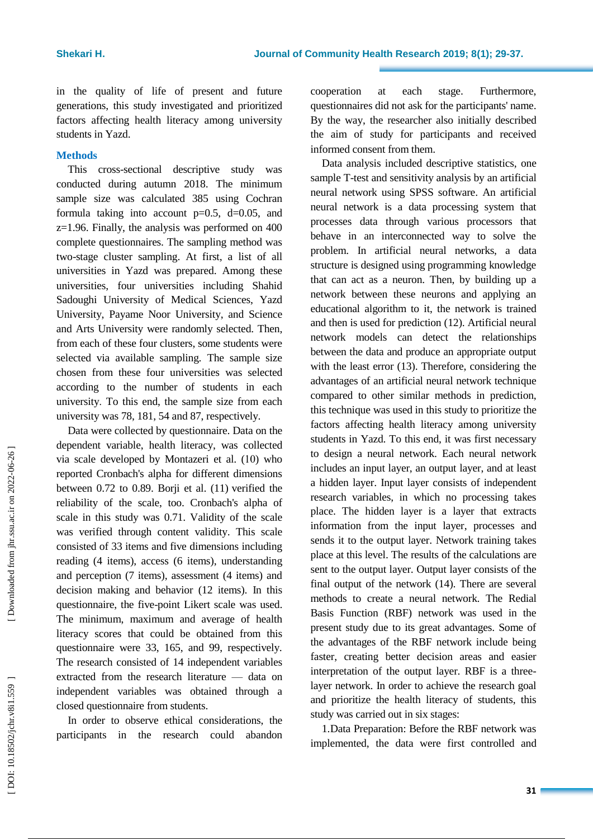in the quality of life of present and future generations , this study investigated and prioritized factors affecting health literacy among university students in Yazd.

# **Methods**

This cross -sectional descriptive study was conducted during autumn 2018. The minimum sample size was calculated 385 using Cochran formula taking into account  $p=0.5$ ,  $d=0.05$ , and z=1.96. Finally, the analysis was performed on 400 complete questionnaires. The sampling method was two -stage cluster sampling. At first, a list of all universities in Yazd was prepared. Among these universities, four universities including Shahid Sadoughi University of Medical Sciences, Yazd University, Payame Noor University , and Science and Arts University were randomly selected. Then, from each of these four cluster s, some students were selected via available sampling. The sample size chosen from these four universities was selected according to the number of students in each university . To this end, the sample size from each university was 78, 181, 54 and 87, respectively.

Data were collected by questionnaire. Data on the dependent variable, health literacy, was collected via scale developed by Montazeri et al. (10) who reported Cronbach's alpha for different dimensions between 0.72 to 0.89. Borji et al. (11) verified the reliability of the scale , too. Cronbach's alpha of scale in this study was 0.71. Validity of the scale was verified through content validity. This scale consisted of 33 items and five dimensions including re ading (4 items), access (6 items), understanding and perception (7 items), assessment (4 items) and decision making and behavior (12 items). In this questionnaire, the five -point Likert scale was used. The minimum, maximum and average of health literacy scores that could be obtained from this questionnaire were 33, 165, and 99, respectively. The research consisted of 14 independent variables extracted from the research literature — data on independent variables was obtained through a closed questionnaire from students.

In order to observe ethical considerations, the participants in the research could abandon cooperation at each stage. Furthermore, questionnaires did not ask for the participants' name. By the way, the researcher also initially described the aim of study for participants and received informed consent from them.

Data analysis included descriptive statistics, one sample T -test and sensitivity analysis by an artificial neural network using SPSS software. An artificial neural network is a data processing system that processes data through various processors that behave in an interconnected way to solve the problem. In artificial neural networks, a data structure is designed using programming knowledge that can act as a neuron. Then, by building up a network between these neurons and applying an educational algorithm to it, the network is trained and then is used for prediction (12). Artificial neural network models can detect the relationships between the data and produce an appropriate output with the least error (13). Therefore, considering the advantages of an artificial neural network technique compared to other similar methods in prediction, this technique was used in this study to prioritize the factors affecting health literacy among university students in Yazd. To this end, it was first necessary to design a neural network. Each neural network includes an input layer, an output layer , and at least a hidden layer. Input layer consists of independent research variables, in which no processing takes place. The hidden layer is a layer that extracts information from the input layer , processes and sends it to the output layer. Network training takes place at this level. The results of the calculations are sent to the output layer. Output layer consists of the final output of the network (14). There are several methods to create a neural network. The Redial Basis Function (RBF) network was used in the present study due to its great advantages. Some of the advantages of the RBF network include being faster, creating better decision areas and easier interpretation of the output layer. RBF is a three layer network. In order to achieve the research goal and prioritize the health literacy of students, this study was carried out in six stages:

1.Data Preparation: Before the RBF network was implemented, the data were first controlled and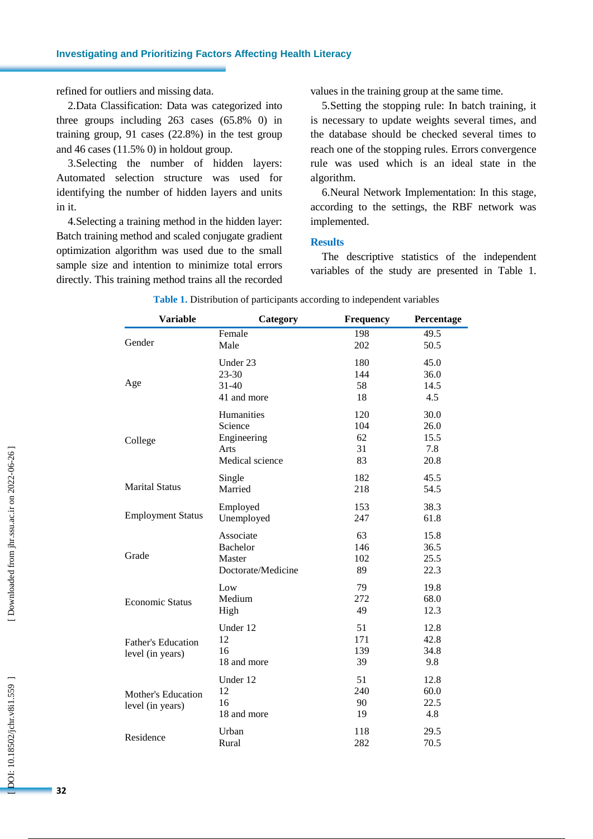refined for outliers and missing data.

2.Data Classification: Data was categorized into three groups including 263 cases (65.8% 0) in training group, 91 cases (22.8%) in the test group and 46 cases (11.5% 0) in holdout group.

3.Selecting the number of hidden layers: Automated selection structure was used for identifying the number of hidden layers and units in it .

4.Selecting a training method in the hidden layer: Batch training method and scaled conjugate gradient optimization algorithm was used due to the small sample size and intention to minimize total errors directly. This training method trains all the recorded values in the training group at the same time.

5.Setting the stopping rule: In batch training , it is necessary to update weights several times , and the database should be checked several times to reach one of the stopping rules. Errors convergence rule was used which is an ideal state in the algorithm.

6.Neural Network Implementation: In this stage, according to the settings, the RBF network was implemented.

## **Results**

The descriptive statistics of the independent variables of the study are presented in Table 1.

| <b>Variable</b>           | Category           | Frequency | Percentage |
|---------------------------|--------------------|-----------|------------|
|                           | Female             | 198       | 49.5       |
| Gender                    | Male               | 202       | 50.5       |
|                           | Under 23           | 180       | 45.0       |
|                           | $23 - 30$          | 144       | 36.0       |
| Age                       | $31 - 40$          | 58        | 14.5       |
|                           | 41 and more        | 18        | 4.5        |
|                           | Humanities         | 120       | 30.0       |
|                           | Science            | 104       | 26.0       |
| College                   | Engineering        | 62        | 15.5       |
|                           | Arts               | 31        | 7.8        |
|                           | Medical science    | 83        | 20.8       |
|                           | Single             | 182       | 45.5       |
| <b>Marital Status</b>     | Married            | 218       | 54.5       |
|                           | Employed           | 153       | 38.3       |
| <b>Employment Status</b>  | Unemployed         | 247       | 61.8       |
|                           | Associate          | 63        | 15.8       |
|                           | <b>Bachelor</b>    | 146       | 36.5       |
| Grade                     | Master             | 102       | 25.5       |
|                           | Doctorate/Medicine | 89        | 22.3       |
|                           | Low                | 79        | 19.8       |
| <b>Economic Status</b>    | Medium             | 272       | 68.0       |
|                           | High               | 49        | 12.3       |
|                           | Under 12           | 51        | 12.8       |
| <b>Father's Education</b> | 12                 | 171       | 42.8       |
| level (in years)          | 16                 | 139       | 34.8       |
|                           | 18 and more        | 39        | 9.8        |
|                           | Under 12           | 51        | 12.8       |
| Mother's Education        | 12                 | 240       | 60.0       |
| level (in years)          | 16                 | 90        | 22.5       |
|                           | 18 and more        | 19        | 4.8        |
| Residence                 | Urban              | 118       | 29.5       |
|                           | Rural              | 282       | 70.5       |

**Table 1 .** Distribution of participants according to independent variables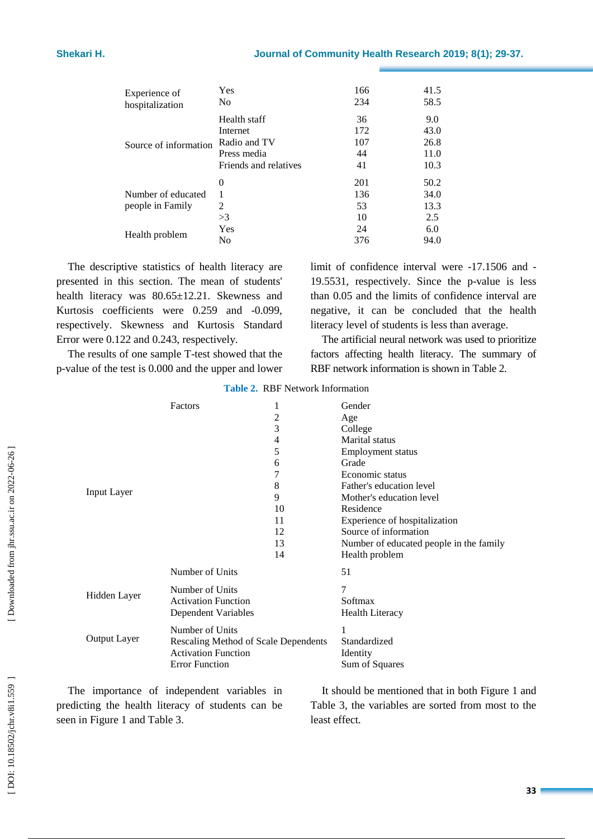| Experience of                          | Yes                   | 166                    | 41.5                        |
|----------------------------------------|-----------------------|------------------------|-----------------------------|
| hospitalization                        | No                    | 234                    | 58.5                        |
| Source of information                  | Health staff          | 36                     | 9.0                         |
|                                        | Internet              | 172                    | 43.0                        |
|                                        | Radio and TV          | 107                    | 26.8                        |
|                                        | Press media           | 44                     | 11.0                        |
|                                        | Friends and relatives | 41                     | 10.3                        |
| Number of educated<br>people in Family | $\Omega$<br>2<br>>3   | 201<br>136<br>53<br>10 | 50.2<br>34.0<br>13.3<br>2.5 |
| Health problem                         | Yes                   | 24                     | 6.0                         |
|                                        | No                    | 376                    | 94.0                        |

The descriptive statistics of health literacy are presented in this section . The mean of students' health literacy was 80.65±12.21. Skewness and Kurtosis coefficients were 0.259 and -0.099, respectively. Skewness and Kurtosis Standard Error were 0.122 and 0.243 , respectively.

The results of one sample T-test showed that the p -value of the test is 0.000 and the upper and lower

limit of confidence interval were -17.1506 and - 19.5531 , respectively. Since the p -value is less than 0.05 and the limit s of confidence interval are negative, it can be concluded that the health literacy level of students is less than average.

The artificial neural network was used to prioritize factors affecting health literacy. The summary of RBF network information is shown in Table 2 .

| Input Layer         | <b>Factors</b>                                                                                                 | 1<br>2<br>3<br>4<br>5<br>6<br>7<br>8<br>9<br>10<br>11<br>12<br>13<br>14 | Gender<br>Age<br>College<br>Marital status<br>Employment status<br>Grade<br>Economic status<br>Father's education level<br>Mother's education level<br>Residence<br>Experience of hospitalization<br>Source of information<br>Number of educated people in the family<br>Health problem |
|---------------------|----------------------------------------------------------------------------------------------------------------|-------------------------------------------------------------------------|-----------------------------------------------------------------------------------------------------------------------------------------------------------------------------------------------------------------------------------------------------------------------------------------|
| Hidden Layer        | Number of Units<br>Number of Units<br><b>Activation Function</b><br><b>Dependent Variables</b>                 |                                                                         | 51<br>7<br>Softmax<br><b>Health Literacy</b>                                                                                                                                                                                                                                            |
| <b>Output Layer</b> | Number of Units<br>Rescaling Method of Scale Dependents<br><b>Activation Function</b><br><b>Error Function</b> |                                                                         | Standardized<br>Identity<br>Sum of Squares                                                                                                                                                                                                                                              |

**Table 2 .** RBF Network Information

The importance of independent variables in predicting the health literacy of students can be seen in Figure 1 and Table 3 .

It should be mentioned that in both Figure 1 and Table 3, the variables are sorted from most to the least effect.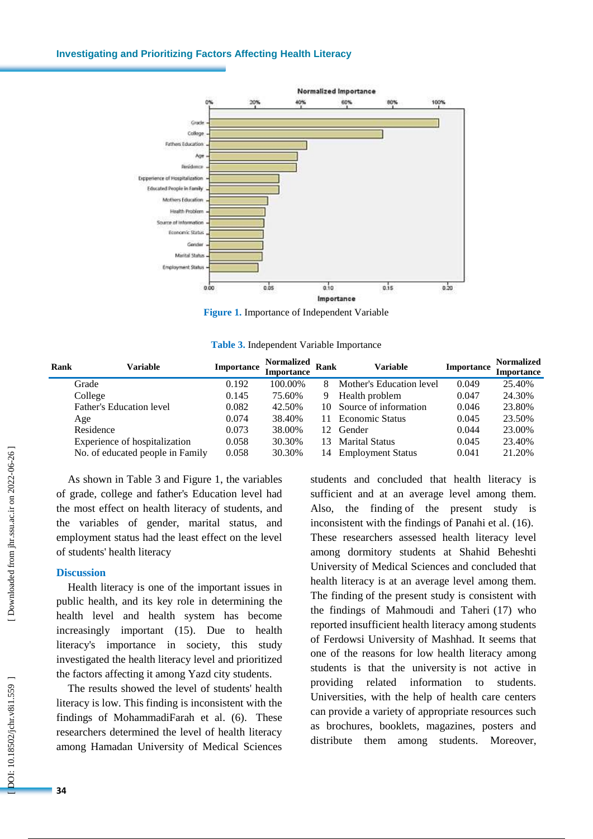#### **Investigating and Prioritizing Factors Affecting Health Literacy**



**Figure 1.** Importance of Independent Variable

|  |  | Table 3. Independent Variable Importance |  |  |
|--|--|------------------------------------------|--|--|
|--|--|------------------------------------------|--|--|

| Rank | Variable                         | <b>Importance</b> | <b>Normalized</b><br><b>Importance</b> | <b>Rank</b>     | Variable                 | Importance | <b>Normalized</b><br>Importance |
|------|----------------------------------|-------------------|----------------------------------------|-----------------|--------------------------|------------|---------------------------------|
|      | Grade                            | 0.192             | 100.00%                                |                 | Mother's Education level | 0.049      | 25.40%                          |
|      | College                          | 0.145             | 75.60%                                 | 9               | Health problem           | 0.047      | 24.30%                          |
|      | Father's Education level         | 0.082             | 42.50%                                 |                 | 10 Source of information | 0.046      | 23.80%                          |
|      | Age                              | 0.074             | 38.40%                                 | 11.             | Economic Status          | 0.045      | 23.50%                          |
|      | Residence                        | 0.073             | 38.00%                                 | 12 <sup>1</sup> | Gender                   | 0.044      | 23.00%                          |
|      | Experience of hospitalization    | 0.058             | 30.30%                                 | 13.             | <b>Marital Status</b>    | 0.045      | 23.40%                          |
|      | No. of educated people in Family | 0.058             | 30.30%                                 | 14              | <b>Employment Status</b> | 0.041      | 21.20%                          |

As shown in Table 3 and Figure 1, the variables of grade, college and father's Education level had the most effect on health literacy of students, and the variables of gender, marital status , and employment status had the least effect on the level of students' health literacy

#### **Discussion**

Health literacy is one of the important issues in public health , and its key role in determining the health level and health system has become increasingly important (15). Due to health literacy's importance in society, this study investigated the health literacy level and prioritized the factors affecting it among Yazd city students .

The results showed the level of students' health literacy is low. This finding is inconsistent with the findings of MohammadiFarah et al . ( 6). These researchers determined the level of health literacy among Hamadan University of Medical Sciences

students and concluded that health literacy is sufficient and at an average level among them. Also, the finding of the present study is inconsistent with the findings of Panahi et al . (16). These researchers assessed health literacy level among dormitory students at Shahid Beheshti University of Medical Sciences and concluded that health literacy is at an average level among them. The finding of the present study is consistent with the findings of Mahmoudi and Taheri (17) who reported insufficient health literacy among students of Ferdowsi University of Mashhad. It seems that one of the reasons for low health literacy among students is that the university is not active in providing related information to students. Universities, with the help of health care centers can provide a variety of appropriate resources such as brochures, booklets, magazines, posters and distribute them among students. Moreover,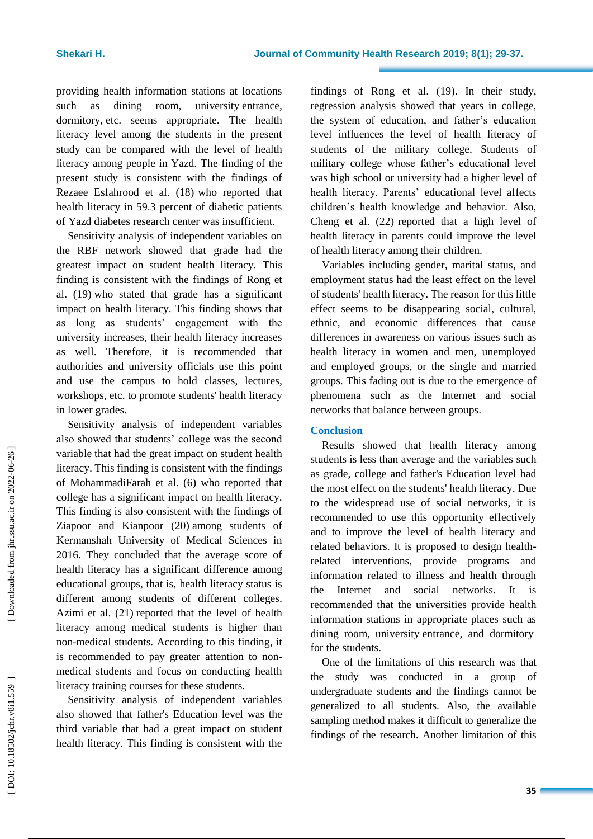providing health information stations at locations such as dining room, university entrance, dormitory , etc. seems appropriate. The health literacy level among the students in the present study can be compared with the level of health literacy among people in Yazd. The finding of the present study is consistent with the findings of Rezaee Esfahrood et al . (18 ) who reported that health literacy in 59.3 percent of diabetic patients of Yazd diabetes research center was insufficient.

Sensitivity analysis of independent variables on the RBF network showed that grade had the greatest impact on student health literacy. This finding is consistent with the findings of Rong et al . ( 1 9 ) who stated that grade has a significant impact on health literacy. This finding shows that as long as students' engagement with the university increases, their health literacy increases as well. Therefore, it is recommended that authorities and university officials use this point and use the campus to hold classes, lectures, workshops , etc. to promote students' health literacy in lower grades .

Sensitivity analysis of independent variables also showed that students' college was the second variable that had the great impact on student health literacy. This finding is consistent with the findings of MohammadiFarah et al . ( 6) who reported that college has a significant impact on health literacy. This finding is also consistent with the findings of Ziapoor and Kianpoor ( 2 0 ) among students of Kermanshah University of Medical Sciences in 2016. They concluded that the average score of health literacy has a significant difference among educational groups, that is, health literacy status is different among students of different colleges. Azimi et al . ( 2 1 ) reported that the level of health literacy among medical students is higher than non -medical students. According to this finding, it is recommended t o pay greater attention to non medical students and focus on conducting health literacy training courses for these students.

Sensitivity analysis of independent variables also showed that father's Education level was the third variable that had a great impact on student health literacy. This finding is consistent with the

findings of Rong et al. (19). In their study, regression analysis showed that years in college, the system of education, and father's education level influences the level of health literacy of students of the military college. Students of military college whose father's educational level was high school or university had a higher level of health literacy. Parents' educational level affects children's health knowledge and behavior. Also, Cheng et al . (22 ) reported that a high level of health literacy in parents could improve the level

of health literacy among their children. Variables including gender, marital status , and employment status had the least effect on the level of students' health literacy . The reason for this little effect seems to be disappearing social, cultural, ethnic, and economic differences that cause differences in awareness on various issues such as health literacy in women and men, unemployed and employed groups, or the single and married groups. This fading out is due to the emergence of phenomena such as the Internet and social networks that balance between groups.

#### **Conclusion**

Results showed that health literacy among students is less than average and the variables such as grade, college and father's Education level had the most effect on the students' health literacy . Due to the widespread use of social networks, it is recommended to use this opportunity effectively and to improve the level of health literacy and related behaviors. It is proposed to design health related interventions, provide programs and information related to illness and health through the Internet and social networks. It is recommended that the universities provide health information stations in appropriate places such as dining room, university entrance , and dormitory for the students.

One of the limitation s of this research was that the study was conducted in a group of undergraduate students and the findings cannot be generalized to all students. Also, the available sampling method makes it difficult to generalize the findings of the research. Another limitation of this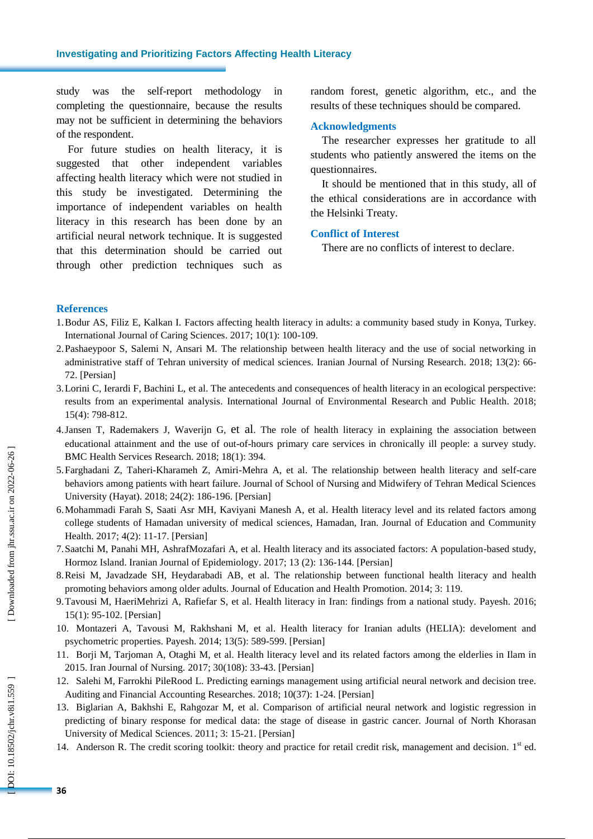study was the self-report methodology in completing the questionnaire, because the results may not be sufficient in determining the behaviors of the respondent.

For future studies on health literacy, it is suggested that other independent variables affecting health literacy which were not studied in this study be investigated. Determining the importance of independent variables on health literacy in this research has been done by an artificial neural network technique. It is suggested that this determination should be carried out through other prediction techniques such as

random forest, genetic algorithm, etc., and the results of these techniques should be compared.

# **Acknowledgments**

The researcher expresses her gratitude to all students who patiently answered the items on the questionnaires.

It should be mentioned that in this study, all of the ethical considerations are in accordance with the Helsinki Treaty.

## **Conflict of Interest**

There are no conflicts of interest to declare .

#### **References**

- 1.Bodur AS, Filiz E, Kalkan I. Factors affecting health literacy in adults: a community based study in Konya, Turkey. International Journal of Caring Sciences . 2017; 10(1): 100 -109.
- 2.Pashaeypoor S, Salemi N, Ansari M. The relationship between health literacy and the use of social networking in administrative staff of Tehran university of medical sciences. Iranian Journal of Nursing Research. 2018; 13(2): 66-72. [Persian]
- 3.Lorini C, Ierardi F, Bachini L, et al. The antecedents and consequences of health literacy in an ecological perspective: results from an experimental analysis. International Journal of Environmental Research and Public Health . 2018; 15( 4): 798 -812 .
- 4[.Jansen](https://www.ncbi.nlm.nih.gov/pubmed/?term=Jansen%20T%5BAuthor%5D&cauthor=true&cauthor_uid=29855365) T, [Rademakers](https://www.ncbi.nlm.nih.gov/pubmed/?term=Rademakers%20J%5BAuthor%5D&cauthor=true&cauthor_uid=29855365) J, [Waverijn](https://www.ncbi.nlm.nih.gov/pubmed/?term=Waverijn%20G%5BAuthor%5D&cauthor=true&cauthor_uid=29855365) G, et al. The role of health literacy in explaining the association between educational attainment and the use of out -of-hours primary care services in chronically ill people: a survey study. [BMC Health Services Rese](https://www.ncbi.nlm.nih.gov/pmc/articles/PMC5984471/)arch . 2018; 18( 1): 394.
- 5.Farghadani Z, Taheri -Kharameh Z, Amiri -Mehra A, et al. The relationship between health literacy and self -care behaviors among patients with heart failure. Journal of School of Nursing and Midwifery of Tehran Medical Sciences University (Hayat) . 2018; 24(2): 186 -196. [Persian]
- 6.Mohammadi Farah S, Saati Asr MH, Kaviyani Manesh A, et al. Health literacy level and its related factors among college students of Hamadan university of medical sciences, Hamadan, Iran. Journal of Education and Community Health. 2017; 4(2): 11-17. [Persian]
- 7.Saatchi M, Panahi MH, AshrafMozafari A, et al. Health literacy and its associated factors: A population -based study, Hormoz Island. Iranian Journal of Epidemiology . 2017; 13 (2): 136 -144. [Persian]
- 8.Reisi M, Javadzade SH, Heydarabadi AB, et al. The relationship between functional health literacy and health promoting behaviors among older adults. Journal of Education and Health Promotion . 2014; 3: 119.
- 9.Tavousi M, HaeriMehrizi A, Rafiefar S, et al. Health literacy in Iran: findings from a national study. Payesh . 2016; 15(1): 95 -102. [Persian ]
- 10. Montazeri A, Tavousi M, Rakhshani M, et al. Health literacy for Iranian adults (HELIA): develoment and psychometric properties. Payesh . 2014; 13(5): 589 -599. [Persian]
- 11. Borji M, Tarjoman A, Otaghi M, et al. Health literacy level and its related factors among the elderlies in Ilam in 2015. Iran Journal of Nursing. 2017; 30(108): 33 -43. [Persian]
- 12. Salehi M, Farrokhi PileRood L. Predicting earnings management using artificial neural network and decision tree. Auditing and Financial Accounting Researches . 2018; 10(37): 1 -24. [Persian]
- 13. Biglarian A, Bakhshi E, Rahgozar M, et al. Comparison of artificial neural network and logistic regression in predicting of binary response for medical data: the stage of disease in gastric cancer. Journal of North Khorasan University of Medical Sciences. 2011; 3: 15-21. [Persian]
- 14. Anderson R. The credit scoring toolkit: theory and practice for retail credit risk, management and decision. 1st ed.

OOI: 10.18502/jchr.v8i1.559]